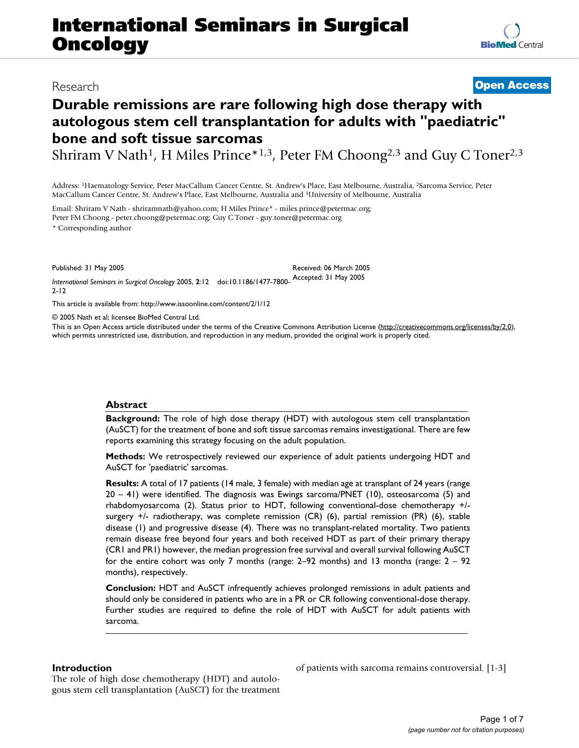# **International Seminars in Surgical Oncology**

## Research **[Open Access](http://www.biomedcentral.com/info/about/charter/)**

## **Durable remissions are rare following high dose therapy with autologous stem cell transplantation for adults with "paediatric" bone and soft tissue sarcomas**

Shriram V Nath<sup>1</sup>, H Miles Prince\*<sup>1,3</sup>, Peter FM Choong<sup>2,3</sup> and Guy C Toner<sup>2,3</sup>

Address: 1Haematology Service, Peter MacCallum Cancer Centre, St. Andrew's Place, East Melbourne, Australia, 2Sarcoma Service, Peter MacCallum Cancer Centre, St. Andrew's Place, East Melbourne, Australia and 3University of Melbourne, Australia

Email: Shriram V Nath - shriramnath@yahoo.com; H Miles Prince\* - miles.prince@petermac.org; Peter FM Choong - peter.choong@petermac.org; Guy C Toner - guy.toner@petermac.org

\* Corresponding author

Published: 31 May 2005

*International Seminars in Surgical Oncology* 2005, **2**:12 doi:10.1186/1477-7800- Accepted: 31 May 2005 2-12 Received: 06 March 2005

[This article is available from: http://www.issoonline.com/content/2/1/12](http://www.issoonline.com/content/2/1/12)

© 2005 Nath et al; licensee BioMed Central Ltd.

This is an Open Access article distributed under the terms of the Creative Commons Attribution License [\(http://creativecommons.org/licenses/by/2.0\)](http://creativecommons.org/licenses/by/2.0), which permits unrestricted use, distribution, and reproduction in any medium, provided the original work is properly cited.

## **Abstract**

**Background:** The role of high dose therapy (HDT) with autologous stem cell transplantation (AuSCT) for the treatment of bone and soft tissue sarcomas remains investigational. There are few reports examining this strategy focusing on the adult population.

**Methods:** We retrospectively reviewed our experience of adult patients undergoing HDT and AuSCT for 'paediatric' sarcomas.

**Results:** A total of 17 patients (14 male, 3 female) with median age at transplant of 24 years (range 20 – 41) were identified. The diagnosis was Ewings sarcoma/PNET (10), osteosarcoma (5) and rhabdomyosarcoma (2). Status prior to HDT, following conventional-dose chemotherapy +/ surgery +/- radiotherapy, was complete remission (CR) (6), partial remission (PR) (6), stable disease (1) and progressive disease (4). There was no transplant-related mortality. Two patients remain disease free beyond four years and both received HDT as part of their primary therapy (CR1 and PR1) however, the median progression free survival and overall survival following AuSCT for the entire cohort was only 7 months (range: 2–92 months) and 13 months (range: 2 – 92 months), respectively.

**Conclusion:** HDT and AuSCT infrequently achieves prolonged remissions in adult patients and should only be considered in patients who are in a PR or CR following conventional-dose therapy. Further studies are required to define the role of HDT with AuSCT for adult patients with sarcoma.

## **Introduction**

The role of high dose chemotherapy (HDT) and autologous stem cell transplantation (AuSCT) for the treatment of patients with sarcoma remains controversial. [1-3]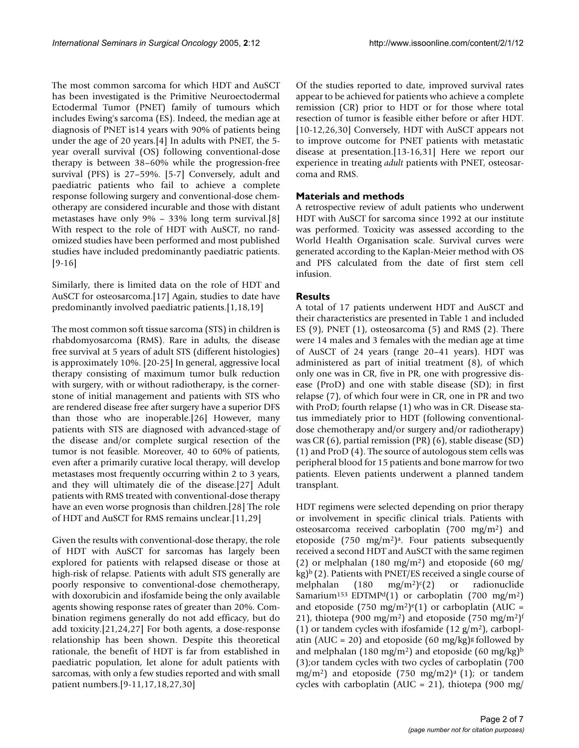The most common sarcoma for which HDT and AuSCT has been investigated is the Primitive Neuroectodermal Ectodermal Tumor (PNET) family of tumours which includes Ewing's sarcoma (ES). Indeed, the median age at diagnosis of PNET is14 years with 90% of patients being under the age of 20 years.[4] In adults with PNET, the 5 year overall survival (OS) following conventional-dose therapy is between 38–60% while the progression-free survival (PFS) is 27–59%. [5-7] Conversely, adult and paediatric patients who fail to achieve a complete response following surgery and conventional-dose chemotherapy are considered incurable and those with distant metastases have only 9% – 33% long term survival.[8] With respect to the role of HDT with AuSCT, no randomized studies have been performed and most published studies have included predominantly paediatric patients. [9-16]

Similarly, there is limited data on the role of HDT and AuSCT for osteosarcoma.[17] Again, studies to date have predominantly involved paediatric patients.[1,18,19]

The most common soft tissue sarcoma (STS) in children is rhabdomyosarcoma (RMS). Rare in adults, the disease free survival at 5 years of adult STS (different histologies) is approximately 10%. [20-25] In general, aggressive local therapy consisting of maximum tumor bulk reduction with surgery, with or without radiotherapy, is the cornerstone of initial management and patients with STS who are rendered disease free after surgery have a superior DFS than those who are inoperable.[26] However, many patients with STS are diagnosed with advanced-stage of the disease and/or complete surgical resection of the tumor is not feasible. Moreover, 40 to 60% of patients, even after a primarily curative local therapy, will develop metastases most frequently occurring within 2 to 3 years, and they will ultimately die of the disease.[27] Adult patients with RMS treated with conventional-dose therapy have an even worse prognosis than children.[28] The role of HDT and AuSCT for RMS remains unclear.[11,29]

Given the results with conventional-dose therapy, the role of HDT with AuSCT for sarcomas has largely been explored for patients with relapsed disease or those at high-risk of relapse. Patients with adult STS generally are poorly responsive to conventional-dose chemotherapy, with doxorubicin and ifosfamide being the only available agents showing response rates of greater than 20%. Combination regimens generally do not add efficacy, but do add toxicity.[21,24,27] For both agents, a dose-response relationship has been shown. Despite this theoretical rationale, the benefit of HDT is far from established in paediatric population, let alone for adult patients with sarcomas, with only a few studies reported and with small patient numbers.[9-11,17,18,27,30]

Of the studies reported to date, improved survival rates appear to be achieved for patients who achieve a complete remission (CR) prior to HDT or for those where total resection of tumor is feasible either before or after HDT. [10-12,26,30] Conversely, HDT with AuSCT appears not to improve outcome for PNET patients with metastatic disease at presentation.[13-16,31] Here we report our experience in treating *adult* patients with PNET, osteosarcoma and RMS.

## **Materials and methods**

A retrospective review of adult patients who underwent HDT with AuSCT for sarcoma since 1992 at our institute was performed. Toxicity was assessed according to the World Health Organisation scale. Survival curves were generated according to the Kaplan-Meier method with OS and PFS calculated from the date of first stem cell infusion.

## **Results**

A total of 17 patients underwent HDT and AuSCT and their characteristics are presented in Table [1](#page-2-0) and included ES (9), PNET (1), osteosarcoma (5) and RMS (2). There were 14 males and 3 females with the median age at time of AuSCT of 24 years (range 20–41 years). HDT was administered as part of initial treatment (8), of which only one was in CR, five in PR, one with progressive disease (ProD) and one with stable disease (SD); in first relapse (7), of which four were in CR, one in PR and two with ProD; fourth relapse (1) who was in CR. Disease status immediately prior to HDT (following conventionaldose chemotherapy and/or surgery and/or radiotherapy) was CR (6), partial remission (PR) (6), stable disease (SD) (1) and ProD (4). The source of autologous stem cells was peripheral blood for 15 patients and bone marrow for two patients. Eleven patients underwent a planned tandem transplant.

HDT regimens were selected depending on prior therapy or involvement in specific clinical trials. Patients with osteosarcoma received carboplatin (700 mg/m2) and etoposide  $(750 \text{ mg/m}^2)^a$ . Four patients subsequently received a second HDT and AuSCT with the same regimen (2) or melphalan (180 mg/m<sup>2</sup>) and etoposide (60 mg/  $kg$ <sup>b</sup> (2). Patients with PNET/ES received a single course of melphalan  $(180 \text{ mg/m}^2)$ <sup>c</sup> $(2)$  or radionuclide Samarium<sup>153</sup> EDTMP<sup>d</sup>(1) or carboplatin (700 mg/m<sup>2</sup>) and etoposide (750 mg/m<sup>2</sup>)<sup>e</sup>(1) or carboplatin (AUC = 21), thiotepa (900 mg/m<sup>2</sup>) and etoposide (750 mg/m<sup>2</sup>)<sup>f</sup> (1) or tandem cycles with ifosfamide (12  $g/m<sup>2</sup>$ ), carboplatin (AUC = 20) and etoposide (60 mg/kg)<sup>g</sup> followed by and melphalan (180 mg/m<sup>2</sup>) and etoposide (60 mg/kg)<sup>b</sup> (3);or tandem cycles with two cycles of carboplatin (700 mg/m<sup>2</sup>) and etoposide (750 mg/m2)<sup>a</sup> (1); or tandem cycles with carboplatin (AUC = 21), thiotepa (900 mg/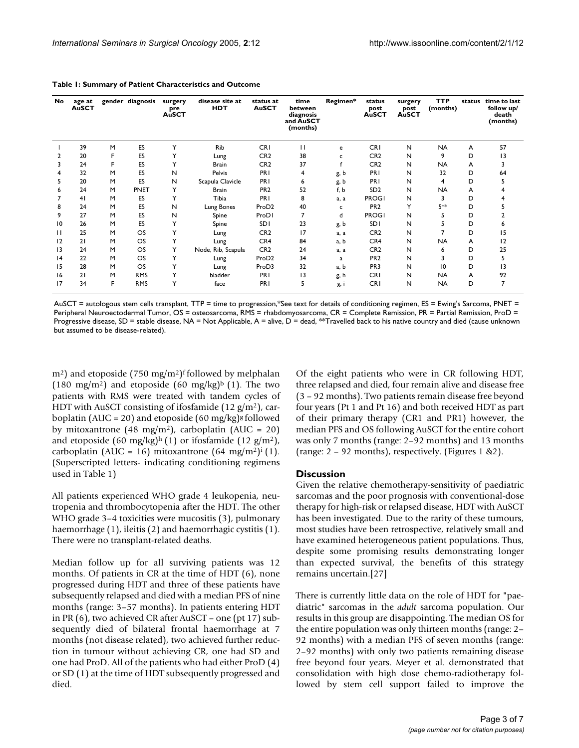| <b>No</b> | age at<br><b>AuSCT</b> |   | gender diagnosis | surgery<br>pre<br><b>AuSCT</b> | disease site at<br><b>HDT</b> | status at<br><b>AuSCT</b> | time<br>between<br>diagnosis<br>and AuSCT<br>(months) | Regimen* | status<br>post<br><b>AuSCT</b> | surgery<br>post<br>AuSCT | <b>TTP</b><br>(months) | status | time to last<br>follow up/<br>death<br>(months) |
|-----------|------------------------|---|------------------|--------------------------------|-------------------------------|---------------------------|-------------------------------------------------------|----------|--------------------------------|--------------------------|------------------------|--------|-------------------------------------------------|
|           | 39                     | M | ES               | Y                              | <b>Rib</b>                    | <b>CRI</b>                | $\mathbf{H}$                                          | e        | <b>CRI</b>                     | N                        | <b>NA</b>              | A      | 57                                              |
|           | 20                     |   | ES               | Y                              | Lung                          | CR <sub>2</sub>           | 38                                                    | c        | CR <sub>2</sub>                | N                        | 9                      | D      | 13                                              |
| 3         | 24                     | F | ES               | Y                              | <b>Brain</b>                  | CR <sub>2</sub>           | 37                                                    |          | CR <sub>2</sub>                | N                        | <b>NA</b>              | A      | 3                                               |
| 4         | 32                     | M | ES               | N                              | Pelvis                        | PRI                       | 4                                                     | g, b     | <b>PRI</b>                     | N                        | 32                     | D      | 64                                              |
| 5         | 20                     | M | ES               | N                              | Scapula Clavicle              | PRI                       | 6                                                     | g, b     | <b>PRI</b>                     | N                        | 4                      | D      |                                                 |
| 6         | 24                     | M | PNET             | Y                              | <b>Brain</b>                  | PR <sub>2</sub>           | 52                                                    | f, b     | SD <sub>2</sub>                | N                        | <b>NA</b>              | A      |                                                 |
|           | 41                     | M | ES               | Y                              | Tibia                         | PRI                       | 8                                                     | a. a     | <b>PROGI</b>                   | N                        | 3                      | D      |                                                 |
| 8         | 24                     | M | ES               | N                              | Lung Bones                    | ProD <sub>2</sub>         | 40                                                    | c        | PR <sub>2</sub>                | Y                        | 5**                    | D      |                                                 |
| 9         | 27                     | M | ES               | N                              | Spine                         | ProDI                     | 7                                                     | d        | <b>PROGI</b>                   | $\mathsf{N}$             | 5                      | D      |                                                 |
| 10        | 26                     | M | ES               | Y                              | Spine                         | <b>SDI</b>                | 23                                                    | g, b     | <b>SDI</b>                     | N                        | 5                      | D      | 6                                               |
|           | 25                     | M | <b>OS</b>        | Y                              | Lung                          | CR <sub>2</sub>           | 17                                                    | a, a     | CR <sub>2</sub>                | N                        |                        | D      | 15                                              |
| 12        | 21                     | M | OS               | Y                              | Lung                          | CR4                       | 84                                                    | a, b     | CR4                            | N                        | <b>NA</b>              | A      | 12                                              |
| 13        | 24                     | M | OS               | Y                              | Node, Rib, Scapula            | CR <sub>2</sub>           | 24                                                    | a, a     | CR <sub>2</sub>                | N                        | 6                      | D      | 25                                              |
| 4         | 22                     | M | <b>OS</b>        | Y                              | Lung                          | ProD <sub>2</sub>         | 34                                                    | a        | PR <sub>2</sub>                | N                        | 3                      | D      | 5                                               |
| 15        | 28                     | M | OS               | Y                              | Lung                          | ProD3                     | 32                                                    | a, b     | PR <sub>3</sub>                | N                        | 10                     | D      | 13                                              |
| 16        | 21                     | M | <b>RMS</b>       | Y                              | bladder                       | PRI                       | 3                                                     | g, h     | <b>CRI</b>                     | N                        | <b>NA</b>              | A      | 92                                              |
| 17        | 34                     | F | <b>RMS</b>       | Y                              | face                          | PRI                       | 5                                                     | g, i     | <b>CRI</b>                     | N                        | <b>NA</b>              | D      | 7                                               |

<span id="page-2-0"></span>**Table 1: Summary of Patient Characteristics and Outcome**

AuSCT = autologous stem cells transplant, TTP = time to progression,\*See text for details of conditioning regimen, ES = Ewing's Sarcoma, PNET = Peripheral Neuroectodermal Tumor, OS = osteosarcoma, RMS = rhabdomyosarcoma, CR = Complete Remission, PR = Partial Remission, ProD = Progressive disease, SD = stable disease, NA = Not Applicable, A = alive, D = dead, \*\*Travelled back to his native country and died (cause unknown but assumed to be disease-related).

 $(m<sup>2</sup>)$  and etoposide (750 mg/m<sup>2</sup>)<sup>f</sup> followed by melphalan (180 mg/m<sup>2</sup>) and etoposide (60 mg/kg)<sup>b</sup> (1). The two patients with RMS were treated with tandem cycles of HDT with AuSCT consisting of ifosfamide (12  $g/m^2$ ), carboplatin (AUC = 20) and etoposide (60 mg/kg) $\epsilon$  followed by mitoxantrone (48 mg/m<sup>2</sup>), carboplatin (AUC = 20) and etoposide (60 mg/kg)<sup>h</sup> (1) or ifosfamide (12 g/m<sup>2</sup>), carboplatin (AUC = 16) mitoxantrone (64 mg/m<sup>2</sup>)<sup>i</sup> (1). (Superscripted letters- indicating conditioning regimens used in Table [1](#page-2-0))

All patients experienced WHO grade 4 leukopenia, neutropenia and thrombocytopenia after the HDT. The other WHO grade 3–4 toxicities were mucositis (3), pulmonary haemorrhage (1), ileitis (2) and haemorrhagic cystitis (1). There were no transplant-related deaths.

Median follow up for all surviving patients was 12 months. Of patients in CR at the time of HDT (6), none progressed during HDT and three of these patients have subsequently relapsed and died with a median PFS of nine months (range: 3–57 months). In patients entering HDT in PR (6), two achieved CR after AuSCT – one (pt 17) subsequently died of bilateral frontal haemorrhage at 7 months (not disease related), two achieved further reduction in tumour without achieving CR, one had SD and one had ProD. All of the patients who had either ProD (4) or SD (1) at the time of HDT subsequently progressed and died.

Of the eight patients who were in CR following HDT, three relapsed and died, four remain alive and disease free (3 – 92 months). Two patients remain disease free beyond four years (Pt 1 and Pt 16) and both received HDT as part of their primary therapy (CR1 and PR1) however, the median PFS and OS following AuSCT for the entire cohort was only 7 months (range: 2–92 months) and 13 months (range: 2 – 92 months), respectively. (Figures 1 &2).

#### **Discussion**

Given the relative chemotherapy-sensitivity of paediatric sarcomas and the poor prognosis with conventional-dose therapy for high-risk or relapsed disease, HDT with AuSCT has been investigated. Due to the rarity of these tumours, most studies have been retrospective, relatively small and have examined heterogeneous patient populations. Thus, despite some promising results demonstrating longer than expected survival, the benefits of this strategy remains uncertain.[27]

There is currently little data on the role of HDT for "paediatric" sarcomas in the *adult* sarcoma population. Our results in this group are disappointing. The median OS for the entire population was only thirteen months (range: 2– 92 months) with a median PFS of seven months (range: 2–92 months) with only two patients remaining disease free beyond four years. Meyer et al. demonstrated that consolidation with high dose chemo-radiotherapy followed by stem cell support failed to improve the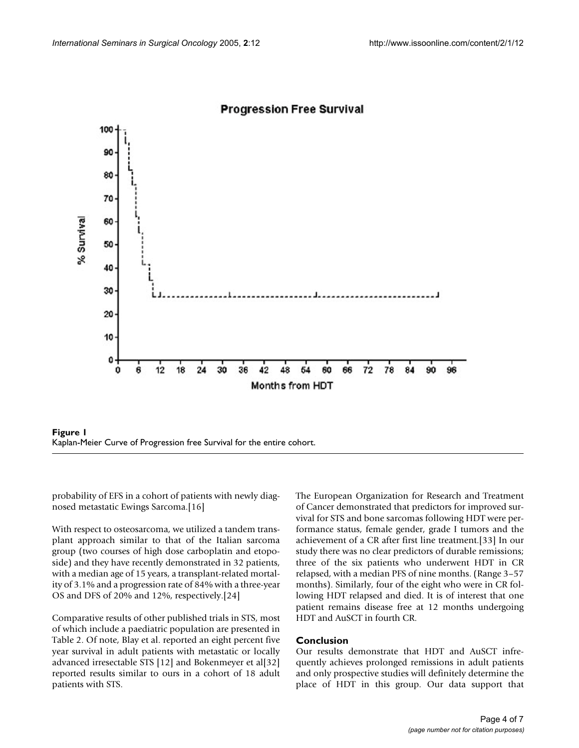

## **Progression Free Survival**



probability of EFS in a cohort of patients with newly diagnosed metastatic Ewings Sarcoma.[16]

With respect to osteosarcoma, we utilized a tandem transplant approach similar to that of the Italian sarcoma group (two courses of high dose carboplatin and etoposide) and they have recently demonstrated in 32 patients, with a median age of 15 years, a transplant-related mortality of 3.1% and a progression rate of 84% with a three-year OS and DFS of 20% and 12%, respectively.[24]

Comparative results of other published trials in STS, most of which include a paediatric population are presented in Table [2](#page-4-0). Of note, Blay et al. reported an eight percent five year survival in adult patients with metastatic or locally advanced irresectable STS [12] and Bokenmeyer et al[32] reported results similar to ours in a cohort of 18 adult patients with STS.

The European Organization for Research and Treatment of Cancer demonstrated that predictors for improved survival for STS and bone sarcomas following HDT were performance status, female gender, grade I tumors and the achievement of a CR after first line treatment.[33] In our study there was no clear predictors of durable remissions; three of the six patients who underwent HDT in CR relapsed, with a median PFS of nine months. (Range 3–57 months). Similarly, four of the eight who were in CR following HDT relapsed and died. It is of interest that one patient remains disease free at 12 months undergoing HDT and AuSCT in fourth CR.

## **Conclusion**

Our results demonstrate that HDT and AuSCT infrequently achieves prolonged remissions in adult patients and only prospective studies will definitely determine the place of HDT in this group. Our data support that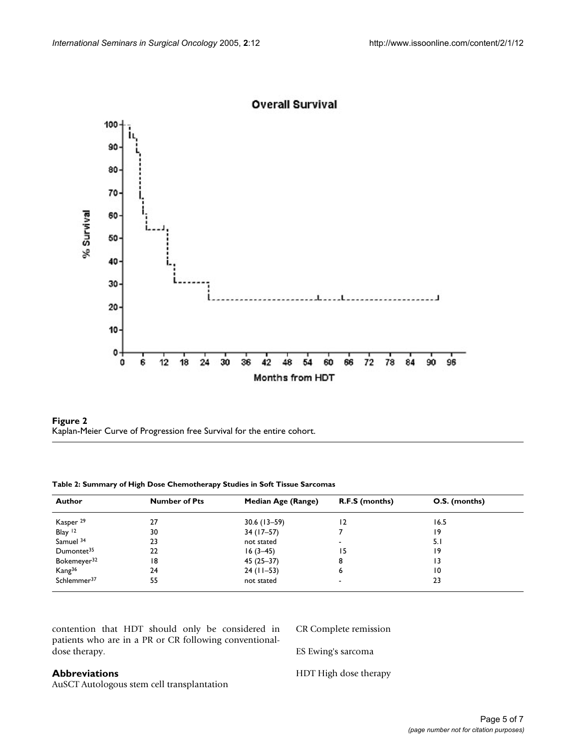





<span id="page-4-0"></span>**Table 2: Summary of High Dose Chemotherapy Studies in Soft Tissue Sarcomas**

| Author                  | <b>Number of Pts</b> | Median Age (Range) | R.F.S (months) | O.S. (months) |  |
|-------------------------|----------------------|--------------------|----------------|---------------|--|
| Kasper <sup>29</sup>    | 27                   | $30.6(13 - 59)$    | 12             | 16.5          |  |
| Blay <sup>12</sup>      | 30                   | $34(17-57)$        |                | 19            |  |
| Samuel 34               | 23                   | not stated         | -              | 5. I          |  |
| Dumontet <sup>35</sup>  | 22                   | $16(3-45)$         | 15.            | 19            |  |
| Bokemeyer <sup>32</sup> | 18                   | $45(25-37)$        | 8              | 3             |  |
| Kang <sup>36</sup>      | 24                   | $24$ (11-53)       | ь              | 10            |  |
| Schlemmer <sup>37</sup> | 55                   | not stated         | $\,$           | 23            |  |

contention that HDT should only be considered in patients who are in a PR or CR following conventionaldose therapy.

CR Complete remission

ES Ewing's sarcoma

## **Abbreviations**

AuSCT Autologous stem cell transplantation

HDT High dose therapy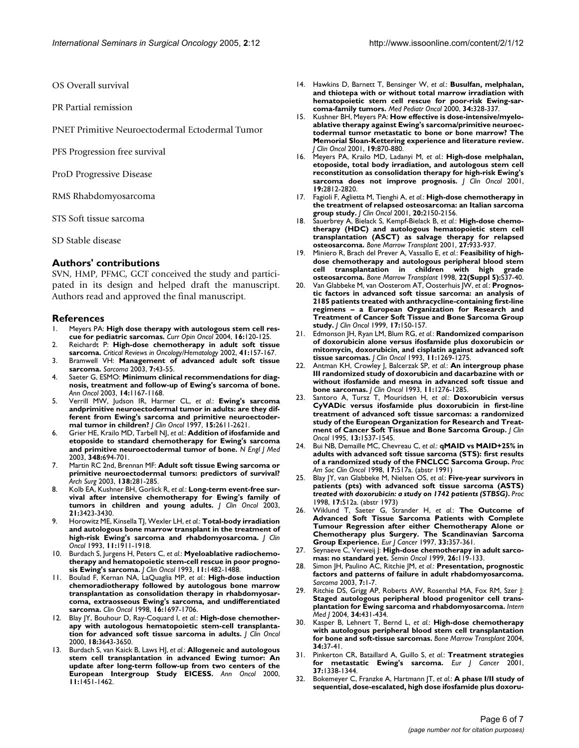OS Overall survival

PR Partial remission

PNET Primitive Neuroectodermal Ectodermal Tumor

PFS Progression free survival

ProD Progressive Disease

RMS Rhabdomyosarcoma

STS Soft tissue sarcoma

SD Stable disease

#### **Authors' contributions**

SVN, HMP, PFMC, GCT conceived the study and participated in its design and helped draft the manuscript. Authors read and approved the final manuscript.

#### **References**

- 1. Meyers PA: **[High dose therapy with autologous stem cell res](http://www.ncbi.nlm.nih.gov/entrez/query.fcgi?cmd=Retrieve&db=PubMed&dopt=Abstract&list_uids=15075902)[cue for pediatric sarcomas.](http://www.ncbi.nlm.nih.gov/entrez/query.fcgi?cmd=Retrieve&db=PubMed&dopt=Abstract&list_uids=15075902)** *Curr Opin Oncol* 2004, **16:**120-125.
- 2. Reichardt P: **[High-dose chemotherapy in adult soft tissue](http://www.ncbi.nlm.nih.gov/entrez/query.fcgi?cmd=Retrieve&db=PubMed&dopt=Abstract&list_uids=11856592) [sarcoma.](http://www.ncbi.nlm.nih.gov/entrez/query.fcgi?cmd=Retrieve&db=PubMed&dopt=Abstract&list_uids=11856592)** *Critical Reviews in Oncology/Hematology* 2002, **41:**157-167.
- 3. Bramwell VH: **Management of advanced adult soft tissue sarcoma.** *Sarcoma* 2003, **7:**43-55.
- 4. Saeter G, ESMO: **[Minimum clinical recommendations for diag](http://www.ncbi.nlm.nih.gov/entrez/query.fcgi?cmd=Retrieve&db=PubMed&dopt=Abstract&list_uids=12881370)[nosis, treatment and follow-up of Ewing's sarcoma of bone.](http://www.ncbi.nlm.nih.gov/entrez/query.fcgi?cmd=Retrieve&db=PubMed&dopt=Abstract&list_uids=12881370)** *Ann Oncol* 2003, **14:**1167-1168.
- 5. Verrill MW, Judson IR, Harmer CL, *et al.*: **[Ewing's sarcoma](http://www.ncbi.nlm.nih.gov/entrez/query.fcgi?cmd=Retrieve&db=PubMed&dopt=Abstract&list_uids=9215832) andprimitive neuroectodermal tumor in adults: are they dif[ferent from Ewing's sarcoma and primitive neuroectoder](http://www.ncbi.nlm.nih.gov/entrez/query.fcgi?cmd=Retrieve&db=PubMed&dopt=Abstract&list_uids=9215832)[mal tumor in children?](http://www.ncbi.nlm.nih.gov/entrez/query.fcgi?cmd=Retrieve&db=PubMed&dopt=Abstract&list_uids=9215832)** *J Clin Oncol* 1997, **15:**2611-2621.
- 6. Grier HE, Krailo MD, Tarbell NJ, *et al.*: **[Addition of ifosfamide and](http://www.ncbi.nlm.nih.gov/entrez/query.fcgi?cmd=Retrieve&db=PubMed&dopt=Abstract&list_uids=12594313) [etoposide to standard chemotherapy for Ewing's sarcoma](http://www.ncbi.nlm.nih.gov/entrez/query.fcgi?cmd=Retrieve&db=PubMed&dopt=Abstract&list_uids=12594313) [and primitive neuroectodermal tumor of bone.](http://www.ncbi.nlm.nih.gov/entrez/query.fcgi?cmd=Retrieve&db=PubMed&dopt=Abstract&list_uids=12594313)** *N Engl J Med* 2003, **348:**694-701.
- 7. Martin RC 2nd, Brennan MF: **[Adult soft tissue Ewing sarcoma or](http://www.ncbi.nlm.nih.gov/entrez/query.fcgi?cmd=Retrieve&db=PubMed&dopt=Abstract&list_uids=12611575) [primitive neuroectodermal tumors: predictors of survival?](http://www.ncbi.nlm.nih.gov/entrez/query.fcgi?cmd=Retrieve&db=PubMed&dopt=Abstract&list_uids=12611575)** *Arch Surg* 2003, **138:**281-285.
- 8. Kolb EA, Kushner BH, Gorlick R, *et al.*: **[Long-term event-free sur](http://www.ncbi.nlm.nih.gov/entrez/query.fcgi?cmd=Retrieve&db=PubMed&dopt=Abstract&list_uids=12972518)[vival after intensive chemotherapy for Ewing's family of](http://www.ncbi.nlm.nih.gov/entrez/query.fcgi?cmd=Retrieve&db=PubMed&dopt=Abstract&list_uids=12972518) [tumors in children and young adults.](http://www.ncbi.nlm.nih.gov/entrez/query.fcgi?cmd=Retrieve&db=PubMed&dopt=Abstract&list_uids=12972518)** *J Clin Oncol* 2003, **21:**3423-3430.
- 9. Horowitz ME, Kinsella TJ, Wexler LH, *et al.*: **[Total-body irradiation](http://www.ncbi.nlm.nih.gov/entrez/query.fcgi?cmd=Retrieve&db=PubMed&dopt=Abstract&list_uids=8410118) [and autologous bone marrow transplant in the treatment of](http://www.ncbi.nlm.nih.gov/entrez/query.fcgi?cmd=Retrieve&db=PubMed&dopt=Abstract&list_uids=8410118) [high-risk Ewing's sarcoma and rhabdomyosarcoma.](http://www.ncbi.nlm.nih.gov/entrez/query.fcgi?cmd=Retrieve&db=PubMed&dopt=Abstract&list_uids=8410118)** *J Clin Oncol* 1993, **11:**1911-1918.
- 10. Burdach S, Jurgens H, Peters C, *et al.*: **[Myeloablative radiochemo](http://www.ncbi.nlm.nih.gov/entrez/query.fcgi?cmd=Retrieve&db=PubMed&dopt=Abstract&list_uids=8101562)[therapy and hematopoietic stem-cell rescue in poor progno](http://www.ncbi.nlm.nih.gov/entrez/query.fcgi?cmd=Retrieve&db=PubMed&dopt=Abstract&list_uids=8101562)[sis Ewing's sarcoma.](http://www.ncbi.nlm.nih.gov/entrez/query.fcgi?cmd=Retrieve&db=PubMed&dopt=Abstract&list_uids=8101562)** *J Clin Oncol* 1993, **11:**1482-1488.
- 11. Boulad F, Kernan NA, LaQuaglia MP, *et al.*: **High-dose induction chemoradiotherapy followed by autologous bone marrow transplantation as consolidation therapy in rhabdomyosarcoma, extraosseous Ewing's sarcoma, and undifferentiated sarcoma.** *Clin Oncol* 1998, **16:**1697-1706.
- 12. Blay JY, Bouhour D, Ray-Coquard I, *et al.*: **[High-dose chemother](http://www.ncbi.nlm.nih.gov/entrez/query.fcgi?cmd=Retrieve&db=PubMed&dopt=Abstract&list_uids=11054437)[apy with autologous hematopoietic stem-cell transplanta](http://www.ncbi.nlm.nih.gov/entrez/query.fcgi?cmd=Retrieve&db=PubMed&dopt=Abstract&list_uids=11054437)[tion for advanced soft tissue sarcoma in adults.](http://www.ncbi.nlm.nih.gov/entrez/query.fcgi?cmd=Retrieve&db=PubMed&dopt=Abstract&list_uids=11054437)** *J Clin Oncol* 2000, **18:**3643-3650.
- 13. Burdach S, van Kaick B, Laws HJ, *et al.*: **[Allogeneic and autologous](http://www.ncbi.nlm.nih.gov/entrez/query.fcgi?cmd=Retrieve&db=PubMed&dopt=Abstract&list_uids=11142486) [stem cell transplantation in advanced Ewing tumor: An](http://www.ncbi.nlm.nih.gov/entrez/query.fcgi?cmd=Retrieve&db=PubMed&dopt=Abstract&list_uids=11142486) update after long-term follow-up from two centers of the [European Intergroup Study EICESS.](http://www.ncbi.nlm.nih.gov/entrez/query.fcgi?cmd=Retrieve&db=PubMed&dopt=Abstract&list_uids=11142486)** *Ann Oncol* 2000, **11:**1451-1462.
- 14. Hawkins D, Barnett T, Bensinger W, *et al.*: **[Busulfan, melphalan,](http://www.ncbi.nlm.nih.gov/entrez/query.fcgi?cmd=Retrieve&db=PubMed&dopt=Abstract&list_uids=10797354) [and thiotepa with or without total marrow irradiation with](http://www.ncbi.nlm.nih.gov/entrez/query.fcgi?cmd=Retrieve&db=PubMed&dopt=Abstract&list_uids=10797354) hematopoietic stem cell rescue for poor-risk Ewing-sar[coma-family tumors.](http://www.ncbi.nlm.nih.gov/entrez/query.fcgi?cmd=Retrieve&db=PubMed&dopt=Abstract&list_uids=10797354)** *Med Pediatr Oncol* 2000, **34:**328-337.
- 15. Kushner BH, Meyers PA: **[How effective is dose-intensive/myelo](http://www.ncbi.nlm.nih.gov/entrez/query.fcgi?cmd=Retrieve&db=PubMed&dopt=Abstract&list_uids=11157041)[ablative therapy against Ewing's sarcoma/primitive neuroec](http://www.ncbi.nlm.nih.gov/entrez/query.fcgi?cmd=Retrieve&db=PubMed&dopt=Abstract&list_uids=11157041)todermal tumor metastatic to bone or bone marrow? The Memorial Sloan-Kettering experience and literature review.** *J Clin Oncol* 2001, **19:**870-880.
- 16. Meyers PA, Krailo MD, Ladanyi M, *et al.*: **[High-dose melphalan,](http://www.ncbi.nlm.nih.gov/entrez/query.fcgi?cmd=Retrieve&db=PubMed&dopt=Abstract&list_uids=11387352) [etoposide, total body irradiation, and autologous stem cell](http://www.ncbi.nlm.nih.gov/entrez/query.fcgi?cmd=Retrieve&db=PubMed&dopt=Abstract&list_uids=11387352) reconstitution as consolidation therapy for high-risk Ewing's [sarcoma does not improve prognosis.](http://www.ncbi.nlm.nih.gov/entrez/query.fcgi?cmd=Retrieve&db=PubMed&dopt=Abstract&list_uids=11387352)** *J Clin Oncol* 2001, **19:**2812-2820.
- 17. Fagioli F, Aglietta M, Tienghi A, *et al.*: **High-dose chemotherapy in the treatment of relapsed osteosarcoma: an Italian sarcoma group study.** *J Clin Oncol* 2001, **20:**2150-2156.
- 18. Sauerbrey A, Bielack S, Kempf-Bielack B, *et al.*: **[High-dose chemo](http://www.ncbi.nlm.nih.gov/entrez/query.fcgi?cmd=Retrieve&db=PubMed&dopt=Abstract&list_uids=11436103)[therapy \(HDC\) and autologous hematopoietic stem cell](http://www.ncbi.nlm.nih.gov/entrez/query.fcgi?cmd=Retrieve&db=PubMed&dopt=Abstract&list_uids=11436103) transplantation (ASCT) as salvage therapy for relapsed [osteosarcoma.](http://www.ncbi.nlm.nih.gov/entrez/query.fcgi?cmd=Retrieve&db=PubMed&dopt=Abstract&list_uids=11436103)** *Bone Marrow Transplant* 2001, **27:**933-937.
- 19. Miniero R, Brach del Prever A, Vassallo E, *et al.*: **[Feasibility of high](http://www.ncbi.nlm.nih.gov/entrez/query.fcgi?cmd=Retrieve&db=PubMed&dopt=Abstract&list_uids=9989888)[dose chemotherapy and autologous peripheral blood stem](http://www.ncbi.nlm.nih.gov/entrez/query.fcgi?cmd=Retrieve&db=PubMed&dopt=Abstract&list_uids=9989888) cell transplantation in children with high grade [osteosarcoma.](http://www.ncbi.nlm.nih.gov/entrez/query.fcgi?cmd=Retrieve&db=PubMed&dopt=Abstract&list_uids=9989888)** *Bone Marrow Transplant* 1998, **22(Suppl 5):**S37-40.
- 20. Van Glabbeke M, van Oosterom AT, Oosterhuis JW, *et al.*: **[Prognos](http://www.ncbi.nlm.nih.gov/entrez/query.fcgi?cmd=Retrieve&db=PubMed&dopt=Abstract&list_uids=10458228)[tic factors in advanced soft tissue sarcoma: an analysis of](http://www.ncbi.nlm.nih.gov/entrez/query.fcgi?cmd=Retrieve&db=PubMed&dopt=Abstract&list_uids=10458228) 2185 patients treated with anthracycline-containing first-line regimens – a European Organization for Research and Treatment of Cancer Soft Tissue and Bone Sarcoma Group [study.](http://www.ncbi.nlm.nih.gov/entrez/query.fcgi?cmd=Retrieve&db=PubMed&dopt=Abstract&list_uids=10458228)** *J Clin Oncol* 1999, **17:**150-157.
- 21. Edmonson JH, Ryan LM, Blum RG, *et al.*: **[Randomized comparison](http://www.ncbi.nlm.nih.gov/entrez/query.fcgi?cmd=Retrieve&db=PubMed&dopt=Abstract&list_uids=8315424) [of doxorubicin alone versus ifosfamide plus doxorubicin or](http://www.ncbi.nlm.nih.gov/entrez/query.fcgi?cmd=Retrieve&db=PubMed&dopt=Abstract&list_uids=8315424) mitomycin, doxorubicin, and cisplatin against advanced soft [tissue sarcomas.](http://www.ncbi.nlm.nih.gov/entrez/query.fcgi?cmd=Retrieve&db=PubMed&dopt=Abstract&list_uids=8315424)** *J Clin Oncol* 1993, **11:**1269-1275.
- 22. Antman KH, Crowley J, Balcerzak SP, *et al.*: **[An intergroup phase](http://www.ncbi.nlm.nih.gov/entrez/query.fcgi?cmd=Retrieve&db=PubMed&dopt=Abstract&list_uids=8315425) [III randomized study of doxorubicin and dacarbazine with or](http://www.ncbi.nlm.nih.gov/entrez/query.fcgi?cmd=Retrieve&db=PubMed&dopt=Abstract&list_uids=8315425) without ifosfamide and mesna in advanced soft tissue and [bone sarcomas.](http://www.ncbi.nlm.nih.gov/entrez/query.fcgi?cmd=Retrieve&db=PubMed&dopt=Abstract&list_uids=8315425)** *J Clin Oncol* 1993, **11:**1276-1285.
- 23. Santoro A, Tursz T, Mouridsen H, *et al.*: **[Doxorubicin versus](http://www.ncbi.nlm.nih.gov/entrez/query.fcgi?cmd=Retrieve&db=PubMed&dopt=Abstract&list_uids=7602342) [CyVADic versus ifosfamide plus doxorubicin in first-line](http://www.ncbi.nlm.nih.gov/entrez/query.fcgi?cmd=Retrieve&db=PubMed&dopt=Abstract&list_uids=7602342) treatment of advanced soft tissue sarcomas: a randomized study of the European Organization for Research and Treat[ment of Cancer Soft Tissue and Bone Sarcoma Group.](http://www.ncbi.nlm.nih.gov/entrez/query.fcgi?cmd=Retrieve&db=PubMed&dopt=Abstract&list_uids=7602342)** *J Clin Oncol* 1995, **13:**1537-1545.
- 24. Bui NB, Demaille MC, Chevreau C, *et al.*: **qMAID vs MAID+25% in adults with advanced soft tissue sarcoma (STS): first results of a randomized study of the FNCLCC Sarcoma Group.** *Proc Am Soc Clin Oncol* 1998, **17:**517a. (abstr 1991)
- 25. Blay JY, van Glabbeke M, Nielsen OS, *et al.*: **Five-year survivors in patients (pts) with advanced soft tissue sarcoma (ASTS)** *treated with doxorubicin: a study on 1742 patients (STBSG)***.** *Proc* 1998, **17:**512a. (abstr 1973)
- 26. Wiklund T, Saeter G, Strander H, *et al.*: **[The Outcome of](http://www.ncbi.nlm.nih.gov/entrez/query.fcgi?cmd=Retrieve&db=PubMed&dopt=Abstract&list_uids=9155517) Advanced Soft Tissue Sarcoma Patients with Complete [Tumour Regression after either Chemotherapy Alone or](http://www.ncbi.nlm.nih.gov/entrez/query.fcgi?cmd=Retrieve&db=PubMed&dopt=Abstract&list_uids=9155517) Chemotherapy plus Surgery. The Scandinavian Sarcoma [Group Experience.](http://www.ncbi.nlm.nih.gov/entrez/query.fcgi?cmd=Retrieve&db=PubMed&dopt=Abstract&list_uids=9155517)** *Eur J Cancer* 1997, **33:**357-361.
- 27. Seynaeve C, Verweij J: **[High-dose chemotherapy in adult sarco](http://www.ncbi.nlm.nih.gov/entrez/query.fcgi?cmd=Retrieve&db=PubMed&dopt=Abstract&list_uids=10073568)[mas: no standard yet.](http://www.ncbi.nlm.nih.gov/entrez/query.fcgi?cmd=Retrieve&db=PubMed&dopt=Abstract&list_uids=10073568)** *Semin Oncol* 1999, **26:**119-133.
- 28. Simon JH, Paulino AC, Ritchie JM, *et al.*: **Presentation, prognostic factors and patterns of failure in adult rhabdomyosarcoma.** *Sarcoma* 2003, **7:**1-7.
- 29. Ritchie DS, Grigg AP, Roberts AW, Rosenthal MA, Fox RM, Szer J: **[Staged autologous peripheral blood progenitor cell trans](http://www.ncbi.nlm.nih.gov/entrez/query.fcgi?cmd=Retrieve&db=PubMed&dopt=Abstract&list_uids=15271179)[plantation for Ewing sarcoma and rhabdomyosarcoma.](http://www.ncbi.nlm.nih.gov/entrez/query.fcgi?cmd=Retrieve&db=PubMed&dopt=Abstract&list_uids=15271179)** *Intern Med J* 2004, **34:**431-434.
- 30. Kasper B, Lehnert T, Bernd L, *et al.*: **[High-dose chemotherapy](http://www.ncbi.nlm.nih.gov/entrez/query.fcgi?cmd=Retrieve&db=PubMed&dopt=Abstract&list_uids=15170176) [with autologous peripheral blood stem cell transplantation](http://www.ncbi.nlm.nih.gov/entrez/query.fcgi?cmd=Retrieve&db=PubMed&dopt=Abstract&list_uids=15170176) [for bone and soft-tissue sarcomas.](http://www.ncbi.nlm.nih.gov/entrez/query.fcgi?cmd=Retrieve&db=PubMed&dopt=Abstract&list_uids=15170176)** *Bone Marrow Transplant* 2004, **34:**37-41.
- 31. Pinkerton CR, Bataillard A, Guillo S, *et al.*: **[Treatment strategies](http://www.ncbi.nlm.nih.gov/entrez/query.fcgi?cmd=Retrieve&db=PubMed&dopt=Abstract&list_uids=11435062) [for metastatic Ewing's sarcoma.](http://www.ncbi.nlm.nih.gov/entrez/query.fcgi?cmd=Retrieve&db=PubMed&dopt=Abstract&list_uids=11435062)** *Eur J Cancer* 2001, **37:**1338-1344.
- 32. Bokemeyer C, Franzke A, Hartmann JT, *et al.*: **[A phase I/II study of](http://www.ncbi.nlm.nih.gov/entrez/query.fcgi?cmd=Retrieve&db=PubMed&dopt=Abstract&list_uids=9317171) [sequential, dose-escalated, high dose ifosfamide plus doxoru](http://www.ncbi.nlm.nih.gov/entrez/query.fcgi?cmd=Retrieve&db=PubMed&dopt=Abstract&list_uids=9317171)-**